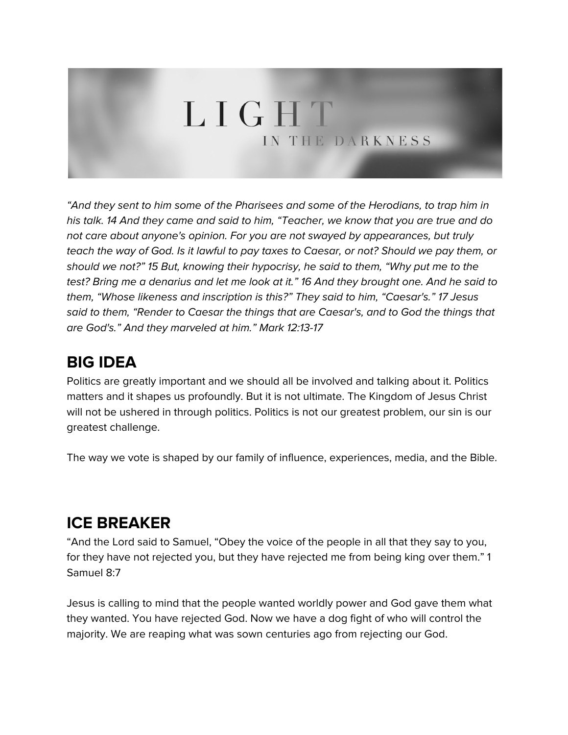# LIGHT IN THE DARKNESS

"And they sent to him some of the Pharisees and some of the Herodians, to trap him in his talk. 14 And they came and said to him, "Teacher, we know that you are true and do not care about anyone's opinion. For you are not swayed by appearances, but truly teach the way of God. Is it lawful to pay taxes to Caesar, or not? Should we pay them, or should we not?" 15 But, knowing their hypocrisy, he said to them, "Why put me to the test? Bring me a denarius and let me look at it." 16 And they brought one. And he said to them, "Whose likeness and inscription is this?" They said to him, "Caesar's." 17 Jesus said to them, "Render to Caesar the things that are Caesar's, and to God the things that are God's." And they marveled at him." Mark 12:13-17

## **BIG IDEA**

Politics are greatly important and we should all be involved and talking about it. Politics matters and it shapes us profoundly. But it is not ultimate. The Kingdom of Jesus Christ will not be ushered in through politics. Politics is not our greatest problem, our sin is our greatest challenge.

The way we vote is shaped by our family of influence, experiences, media, and the Bible.

## **ICE BREAKER**

"And the Lord said to Samuel, "Obey the voice of the people in all that they say to you, for they have not rejected you, but they have rejected me from being king over them." 1 Samuel 8:7

Jesus is calling to mind that the people wanted worldly power and God gave them what they wanted. You have rejected God. Now we have a dog fight of who will control the majority. We are reaping what was sown centuries ago from rejecting our God.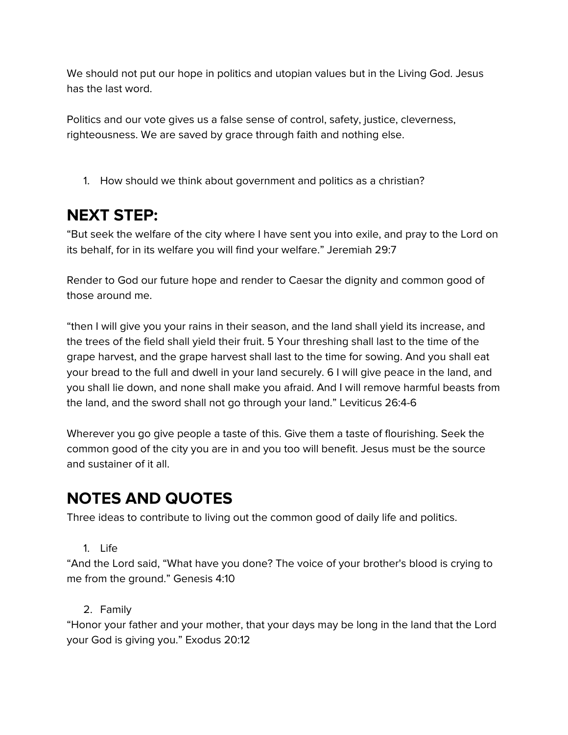We should not put our hope in politics and utopian values but in the Living God. Jesus has the last word.

Politics and our vote gives us a false sense of control, safety, justice, cleverness, righteousness. We are saved by grace through faith and nothing else.

1. How should we think about government and politics as a christian?

## **NEXT STEP:**

"But seek the welfare of the city where I have sent you into exile, and pray to the Lord on its behalf, for in its welfare you will find your welfare." Jeremiah 29:7

Render to God our future hope and render to Caesar the dignity and common good of those around me.

"then I will give you your rains in their season, and the land shall yield its increase, and the trees of the field shall yield their fruit. 5 Your threshing shall last to the time of the grape harvest, and the grape harvest shall last to the time for sowing. And you shall eat your bread to the full and dwell in your land securely. 6 I will give peace in the land, and you shall lie down, and none shall make you afraid. And I will remove harmful beasts from the land, and the sword shall not go through your land." Leviticus 26:4-6

Wherever you go give people a taste of this. Give them a taste of flourishing. Seek the common good of the city you are in and you too will benefit. Jesus must be the source and sustainer of it all.

## **NOTES AND QUOTES**

Three ideas to contribute to living out the common good of daily life and politics.

1. Life

"And the Lord said, "What have you done? The voice of your brother's blood is crying to me from the ground." Genesis 4:10

#### 2. Family

"Honor your father and your mother, that your days may be long in the land that the Lord your God is giving you." Exodus 20:12